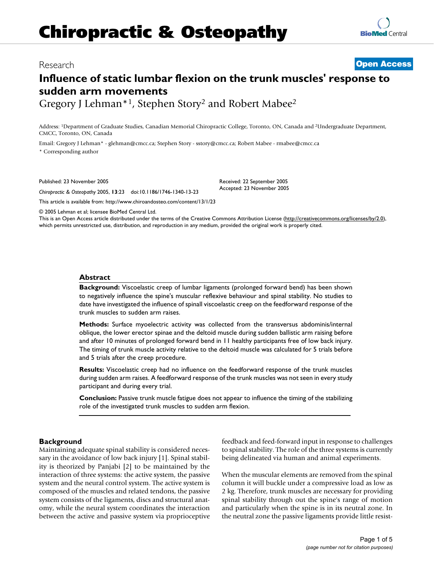# **Influence of static lumbar flexion on the trunk muscles' response to sudden arm movements**

Gregory J Lehman\*1, Stephen Story2 and Robert Mabee2

Address: 1Department of Graduate Studies, Canadian Memorial Chiropractic College, Toronto, ON, Canada and 2Undergraduate Department, CMCC, Toronto, ON, Canada

Email: Gregory J Lehman\* - glehman@cmcc.ca; Stephen Story - sstory@cmcc.ca; Robert Mabee - rmabee@cmcc.ca \* Corresponding author

Published: 23 November 2005

*Chiropractic & Osteopathy* 2005, **13**:23 doi:10.1186/1746-1340-13-23

[This article is available from: http://www.chiroandosteo.com/content/13/1/23](http://www.chiroandosteo.com/content/13/1/23)

© 2005 Lehman et al; licensee BioMed Central Ltd.

This is an Open Access article distributed under the terms of the Creative Commons Attribution License [\(http://creativecommons.org/licenses/by/2.0\)](http://creativecommons.org/licenses/by/2.0), which permits unrestricted use, distribution, and reproduction in any medium, provided the original work is properly cited.

## **Abstract**

**Background:** Viscoelastic creep of lumbar ligaments (prolonged forward bend) has been shown to negatively influence the spine's muscular reflexive behaviour and spinal stability. No studies to date have investigated the influence of spinall viscoelastic creep on the feedforward response of the trunk muscles to sudden arm raises.

**Methods:** Surface myoelectric activity was collected from the transversus abdominis/internal oblique, the lower erector spinae and the deltoid muscle during sudden ballistic arm raising before and after 10 minutes of prolonged forward bend in 11 healthy participants free of low back injury. The timing of trunk muscle activity relative to the deltoid muscle was calculated for 5 trials before and 5 trials after the creep procedure.

**Results:** Viscoelastic creep had no influence on the feedforward response of the trunk muscles during sudden arm raises. A feedforward response of the trunk muscles was not seen in every study participant and during every trial.

**Conclusion:** Passive trunk muscle fatigue does not appear to influence the timing of the stabilizing role of the investigated trunk muscles to sudden arm flexion.

# **Background**

Maintaining adequate spinal stability is considered necessary in the avoidance of low back injury [1]. Spinal stability is theorized by Panjabi [2] to be maintained by the interaction of three systems: the active system, the passive system and the neural control system. The active system is composed of the muscles and related tendons, the passive system consists of the ligaments, discs and structural anatomy, while the neural system coordinates the interaction between the active and passive system via proprioceptive feedback and feed-forward input in response to challenges to spinal stability. The role of the three systems is currently being delineated via human and animal experiments.

When the muscular elements are removed from the spinal column it will buckle under a compressive load as low as 2 kg. Therefore, trunk muscles are necessary for providing spinal stability through out the spine's range of motion and particularly when the spine is in its neutral zone. In the neutral zone the passive ligaments provide little resist-

# Research **[Open Access](http://www.biomedcentral.com/info/about/charter/)**

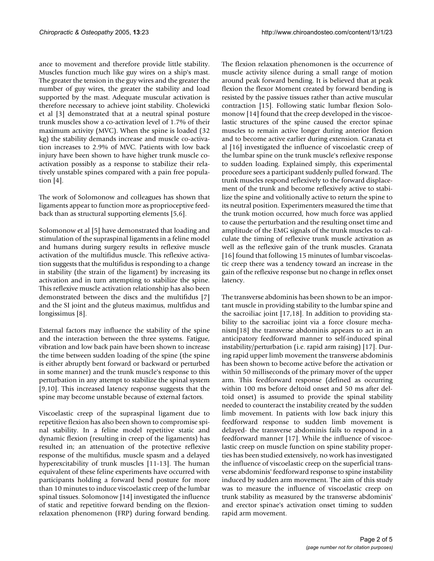ance to movement and therefore provide little stability. Muscles function much like guy wires on a ship's mast. The greater the tension in the guy wires and the greater the number of guy wires, the greater the stability and load supported by the mast. Adequate muscular activation is therefore necessary to achieve joint stability. Cholewicki et al [3] demonstrated that at a neutral spinal posture trunk muscles show a co-activation level of 1.7% of their maximum activity (MVC). When the spine is loaded (32 kg) the stability demands increase and muscle co-activation increases to 2.9% of MVC. Patients with low back injury have been shown to have higher trunk muscle coactivation possibly as a response to stabilize their relatively unstable spines compared with a pain free population  $[4]$ .

The work of Solomonow and colleagues has shown that ligaments appear to function more as proprioceptive feedback than as structural supporting elements [5,6].

Solomonow et al [5] have demonstrated that loading and stimulation of the supraspinal ligaments in a feline model and humans during surgery results in reflexive muscle activation of the multifidus muscle. This reflexive activation suggests that the multifidus is responding to a change in stability (the strain of the ligament) by increasing its activation and in turn attempting to stabilize the spine. This reflexive muscle activation relationship has also been demonstrated between the discs and the multifidus [7] and the SI joint and the gluteus maximus, multfidus and longissimus [8].

External factors may influence the stability of the spine and the interaction between the three systems. Fatigue, vibration and low back pain have been shown to increase the time between sudden loading of the spine (the spine is either abruptly bent forward or backward or perturbed in some manner) and the trunk muscle's response to this perturbation in any attempt to stabilize the spinal system [9,10]. This increased latency response suggests that the spine may become unstable because of external factors.

Viscoelastic creep of the supraspinal ligament due to repetitive flexion has also been shown to compromise spinal stability. In a feline model repetitive static and dynamic flexion (resulting in creep of the ligaments) has resulted in; an attenuation of the protective reflexive response of the multifidus, muscle spasm and a delayed hyperexcitability of trunk muscles [11-13]. The human equivalent of these feline experiments have occurred with participants holding a forward bend posture for more than 10 minutes to induce viscoelastic creep of the lumbar spinal tissues. Solomonow [14] investigated the influence of static and repetitive forward bending on the flexionrelaxation phenomenon (FRP) during forward bending.

The flexion relaxation phenomonen is the occurrence of muscle activity silence during a small range of motion around peak forward bending. It is believed that at peak flexion the flexor Moment created by forward bending is resisted by the passive tissues rather than active muscular contraction [15]. Following static lumbar flexion Solomonow [14] found that the creep developed in the viscoelastic structures of the spine caused the erector spinae muscles to remain active longer during anterior flexion and to become active earlier during extension. Granata et al [16] investigated the influence of viscoelastic creep of the lumbar spine on the trunk muscle's reflexive response to sudden loading. Explained simply, this experimental procedure sees a participant suddenly pulled forward. The trunk muscles respond reflexively to the forward displacement of the trunk and become reflexively active to stabilize the spine and volitionally active to return the spine to its neutral position. Experimenters measured the time that the trunk motion occurred, how much force was applied to cause the perturbation and the resulting onset time and amplitude of the EMG signals of the trunk muscles to calculate the timing of reflexive trunk muscle activation as well as the reflexive gain of the trunk muscles. Granata [16] found that following 15 minutes of lumbar viscoelastic creep there was a tendency toward an increase in the gain of the reflexive response but no change in reflex onset latency.

The transverse abdominis has been shown to be an important muscle in providing stability to the lumbar spine and the sacroiliac joint [17,18]. In addition to providing stability to the sacroiliac joint via a force closure mechanism[18] the transverse abdominis appears to act in an anticipatory feedforward manner to self-induced spinal instability/perturbation (i.e. rapid arm raising) [17]. During rapid upper limb movement the transverse abdominis has been shown to become active before the activation or within 50 milliseconds of the primary mover of the upper arm. This feedforward response (defined as occurring within 100 ms before deltoid onset and 50 ms after deltoid onset) is assumed to provide the spinal stability needed to counteract the instability created by the sudden limb movement. In patients with low back injury this feedforward response to sudden limb movement is delayed- the transverse abdominis fails to respond in a feedforward manner [17]. While the influence of viscoelastic creep on muscle function on spine stability properties has been studied extensively, no work has investigated the influence of viscoelastic creep on the superficial transverse abdominis' feedforward response to spine instability induced by sudden arm movement. The aim of this study was to measure the influence of viscoelastic creep on trunk stability as measured by the transverse abdominis' and erector spinae's activation onset timing to sudden rapid arm movement.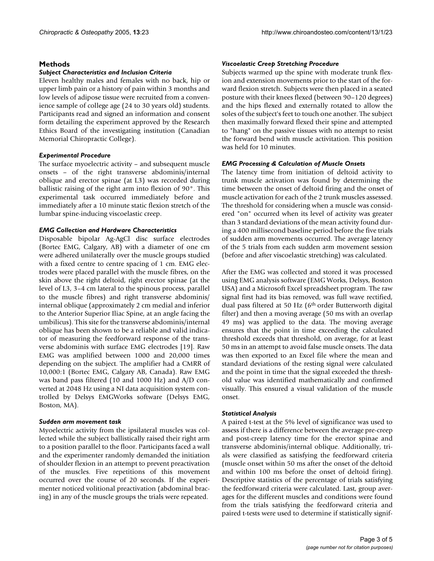#### **Methods**

#### *Subject Characteristics and Inclusion Criteria*

Eleven healthy males and females with no back, hip or upper limb pain or a history of pain within 3 months and low levels of adipose tissue were recruited from a convenience sample of college age (24 to 30 years old) students. Participants read and signed an information and consent form detailing the experiment approved by the Research Ethics Board of the investigating institution (Canadian Memorial Chiropractic College).

#### *Experimental Procedure*

The surface myoelectric activity – and subsequent muscle onsets – of the right transverse abdominis/internal oblique and erector spinae (at L3) was recorded during ballistic raising of the right arm into flexion of 90°. This experimental task occurred immediately before and immediately after a 10 minute static flexion stretch of the lumbar spine-inducing viscoelastic creep.

#### *EMG Collection and Hardware Characteristics*

Disposable bipolar Ag-AgCl disc surface electrodes (Bortec EMG, Calgary, AB) with a diameter of one cm were adhered unilaterally over the muscle groups studied with a fixed centre to centre spacing of 1 cm. EMG electrodes were placed parallel with the muscle fibres, on the skin above the right deltoid, right erector spinae (at the level of L3, 3–4 cm lateral to the spinous process, parallel to the muscle fibres) and right transverse abdominis/ internal oblique (approximately 2 cm medial and inferior to the Anterior Superior Iliac Spine, at an angle facing the umbilicus). This site for the transverse abdominis/internal oblique has been shown to be a reliable and valid indicator of measuring the feedforward response of the transverse abdominis with surface EMG electrodes [19]. Raw EMG was amplified between 1000 and 20,000 times depending on the subject. The amplifier had a CMRR of 10,000:1 (Bortec EMG, Calgary AB, Canada). Raw EMG was band pass filtered (10 and 1000 Hz) and A/D converted at 2048 Hz using a NI data acquisition system controlled by Delsys EMGWorks software (Delsys EMG, Boston, MA).

#### *Sudden arm movement task*

Myoelectric activity from the ipsilateral muscles was collected while the subject ballistically raised their right arm to a position parallel to the floor. Participants faced a wall and the experimenter randomly demanded the initiation of shoulder flexion in an attempt to prevent preactivation of the muscles. Five repetitions of this movement occurred over the course of 20 seconds. If the experimenter noticed volitional preactivation (abdominal bracing) in any of the muscle groups the trials were repeated.

#### *Viscoelastic Creep Stretching Procedure*

Subjects warmed up the spine with moderate trunk flexion and extension movements prior to the start of the forward flexion stretch. Subjects were then placed in a seated posture with their knees flexed (between 90–120 degrees) and the hips flexed and externally rotated to allow the soles of the subject's feet to touch one another. The subject then maximally forward flexed their spine and attempted to "hang" on the passive tissues with no attempt to resist the forward bend with muscle activitation. This position was held for 10 minutes.

#### *EMG Processing & Calculation of Muscle Onsets*

The latency time from initiation of deltoid activity to trunk muscle activation was found by determining the time between the onset of deltoid firing and the onset of muscle activation for each of the 2 trunk muscles assessed. The threshold for considering when a muscle was considered "on" occurred when its level of activity was greater than 3 standard deviations of the mean activity found during a 400 millisecond baseline period before the five trials of sudden arm movements occurred. The average latency of the 5 trials from each sudden arm movement session (before and after viscoelastic stretching) was calculated.

After the EMG was collected and stored it was processed using EMG analysis software (EMG Works, Delsys, Boston USA) and a Microsoft Excel spreadsheet program. The raw signal first had its bias removed, was full wave rectified, dual pass filtered at 50 Hz (6<sup>th</sup> order Butterworth digital filter) and then a moving average (50 ms with an overlap 49 ms) was applied to the data. The moving average ensures that the point in time exceeding the calculated threshold exceeds that threshold, on average, for at least 50 ms in an attempt to avoid false muscle onsets. The data was then exported to an Excel file where the mean and standard deviations of the resting signal were calculated and the point in time that the signal exceeded the threshold value was identified mathematically and confirmed visually. This ensured a visual validation of the muscle onset.

#### *Statistical Analysis*

A paired t-test at the 5% level of significance was used to assess if there is a difference between the average pre-creep and post-creep latency time for the erector spinae and transverse abdominis/internal oblique. Additionally, trials were classified as satisfying the feedforward criteria (muscle onset within 50 ms after the onset of the deltoid and within 100 ms before the onset of deltoid firing). Descriptive statistics of the percentage of trials satisfying the feedforward criteria were calculated. Last, group averages for the different muscles and conditions were found from the trials satisfying the feedforward criteria and paired t-tests were used to determine if statistically signif-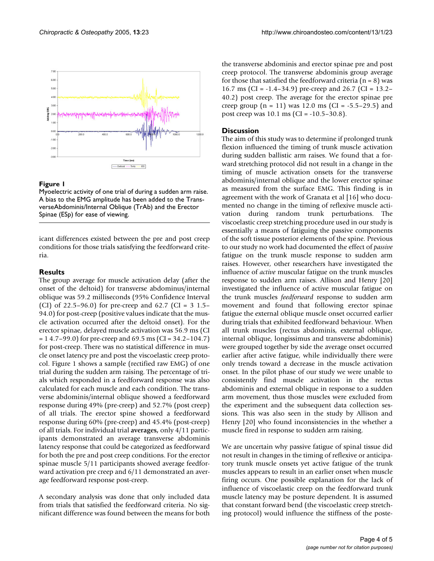

#### Figure 1

Myoelectric activity of one trial of during a sudden arm raise. A bias to the EMG amplitude has been added to the TransverseAbdominis/Internal Oblique (TrAb) and the Erector Spinae (ESp) for ease of viewing.

icant differences existed between the pre and post creep conditions for those trials satisfying the feedforward criteria.

#### **Results**

The group average for muscle activation delay (after the onset of the deltoid) for transverse abdominus/internal oblique was 59.2 milliseconds (95% Confidence Interval (CI) of 22.5–96.0) for pre-creep and 62.7 (CI = 3 1.5– 94.0) for post-creep (positive values indicate that the muscle activation occurred after the deltoid onset). For the erector spinae, delayed muscle activation was 56.9 ms (CI = 1 4.7–99.0) for pre-creep and 69.5 ms (CI = 34.2–104.7) for post-creep. There was no statistical difference in muscle onset latency pre and post the viscoelastic creep protocol. Figure 1 shows a sample (rectified raw EMG) of one trial during the sudden arm raising. The percentage of trials which responded in a feedforward response was also calculated for each muscle and each condition. The transverse abdominis/internal oblique showed a feedforward response during 49% (pre-creep) and 52.7% (post creep) of all trials. The erector spine showed a feedforward response during 60% (pre-creep) and 45.4% (post-creep) of all trials. For individual trial **averages,** only 4/11 participants demonstrated an average transverse abdominis latency response that could be categorized as feedforward for both the pre and post creep conditions. For the erector spinae muscle 5/11 participants showed average feedforward activation pre creep and 6/11 demonstrated an average feedforward response post-creep.

A secondary analysis was done that only included data from trials that satisfied the feedforward criteria. No significant difference was found between the means for both

the transverse abdominis and erector spinae pre and post creep protocol. The transverse abdominis group average for those that satisfied the feedforward criteria  $(n = 8)$  was 16.7 ms (CI = -1.4–34.9) pre-creep and 26.7 (CI = 13.2– 40.2) post creep. The average for the erector spinae pre creep group  $(n = 11)$  was 12.0 ms  $(Cl = -5.5-29.5)$  and post creep was 10.1 ms (CI = -10.5–30.8).

#### **Discussion**

The aim of this study was to determine if prolonged trunk flexion influenced the timing of trunk muscle activation during sudden ballistic arm raises. We found that a forward stretching protocol did not result in a change in the timing of muscle activation onsets for the transverse abdominis/internal oblique and the lower erector spinae as measured from the surface EMG. This finding is in agreement with the work of Granata et al [16] who documented no change in the timing of reflexive muscle activation during random trunk perturbations. The viscoelastic creep stretching procedure used in our study is essentially a means of fatiguing the passive components of the soft tissue posterior elements of the spine. Previous to our study no work had documented the effect of *passive* fatigue on the trunk muscle response to sudden arm raises. However, other researchers have investigated the influence of *active* muscular fatigue on the trunk muscles response to sudden arm raises. Allison and Henry [20] investigated the influence of active muscular fatigue on the trunk muscles *feedforward* response to sudden arm movement and found that following erector spinae fatigue the external oblique muscle onset occurred earlier during trials that exhibited feedforward behaviour. When all trunk muscles (rectus abdominis, external oblique, internal oblique, longissimus and transverse abdominis) were grouped together by side the average onset occurred earlier after active fatigue, while individually there were only trends toward a decrease in the muscle activation onset. In the pilot phase of our study we were unable to consistently find muscle activation in the rectus abdominis and external oblique in response to a sudden arm movement, thus those muscles were excluded from the experiment and the subsequent data collection sessions. This was also seen in the study by Allison and Henry [20] who found inconsistencies in the whether a muscle fired in response to sudden arm raising.

We are uncertain why passive fatigue of spinal tissue did not result in changes in the timing of reflexive or anticipatory trunk muscle onsets yet active fatigue of the trunk muscles appears to result in an earlier onset when muscle firing occurs. One possible explanation for the lack of influence of viscoelastic creep on the feedforward trunk muscle latency may be posture dependent. It is assumed that constant forward bend (the viscoelastic creep stretching protocol) would influence the stiffness of the poste-